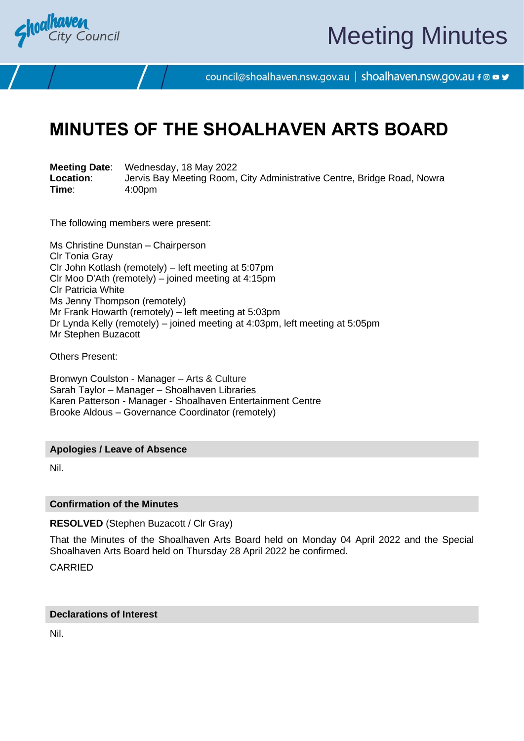

# Meeting Minutes

council@shoalhaven.nsw.gov.au | shoalhaven.nsw.gov.au f @ ■ y

### **MINUTES OF THE SHOALHAVEN ARTS BOARD**

**Meeting Date**: Wednesday, 18 May 2022 **Location:** Jervis Bay Meeting Room, City Administrative Centre, Bridge Road, Nowra<br>
Time: 4:00pm **Time**: 4:00pm

The following members were present:

Ms Christine Dunstan – Chairperson Clr Tonia Gray Clr John Kotlash (remotely) – left meeting at 5:07pm Clr Moo D'Ath (remotely) – joined meeting at 4:15pm Clr Patricia White Ms Jenny Thompson (remotely) Mr Frank Howarth (remotely) – left meeting at 5:03pm Dr Lynda Kelly (remotely) – joined meeting at 4:03pm, left meeting at 5:05pm Mr Stephen Buzacott

Others Present:

Bronwyn Coulston - Manager – Arts & Culture Sarah Taylor – Manager – Shoalhaven Libraries Karen Patterson - Manager - Shoalhaven Entertainment Centre Brooke Aldous – Governance Coordinator (remotely)

#### **Apologies / Leave of Absence**

Nil.

#### **Confirmation of the Minutes**

**RESOLVED** (Stephen Buzacott / Clr Gray)

That the Minutes of the Shoalhaven Arts Board held on Monday 04 April 2022 and the Special Shoalhaven Arts Board held on Thursday 28 April 2022 be confirmed.

CARRIED

#### **Declarations of Interest**

Nil.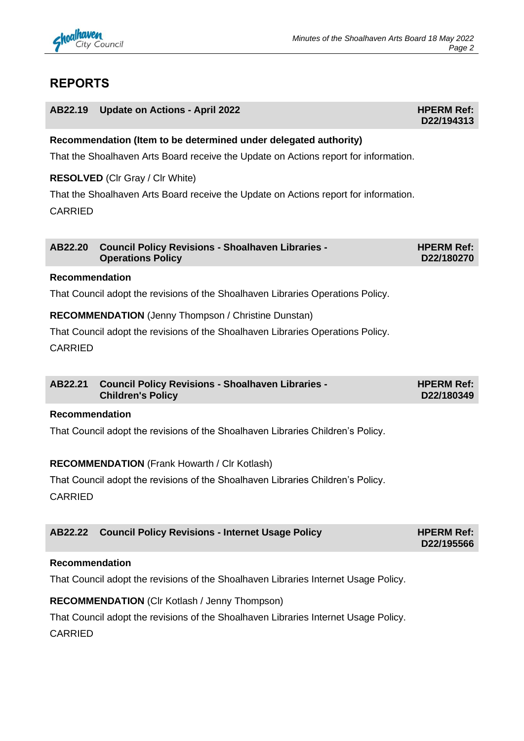

### **REPORTS**

| AB22.19 Update on Actions - April 2022 | <b>HPERM Ref:</b> |
|----------------------------------------|-------------------|
|                                        | D22/194313        |

#### **Recommendation (Item to be determined under delegated authority)**

That the Shoalhaven Arts Board receive the Update on Actions report for information.

#### **RESOLVED** (Clr Gray / Clr White)

That the Shoalhaven Arts Board receive the Update on Actions report for information. CARRIED

| AB22.20 Council Policy Revisions - Shoalhaven Libraries - | <b>HPERM Ref:</b> |
|-----------------------------------------------------------|-------------------|
| <b>Operations Policy</b>                                  | D22/180270        |

#### **Recommendation**

That Council adopt the revisions of the Shoalhaven Libraries Operations Policy.

#### **RECOMMENDATION** (Jenny Thompson / Christine Dunstan)

That Council adopt the revisions of the Shoalhaven Libraries Operations Policy.

CARRIED

| AB22.21 Council Policy Revisions - Shoalhaven Libraries - | <b>HPERM Ref:</b> |
|-----------------------------------------------------------|-------------------|
| <b>Children's Policy</b>                                  | D22/180349        |

#### **Recommendation**

That Council adopt the revisions of the Shoalhaven Libraries Children's Policy.

#### **RECOMMENDATION** (Frank Howarth / Clr Kotlash)

That Council adopt the revisions of the Shoalhaven Libraries Children's Policy.

CARRIED

| AB22.22 Council Policy Revisions - Internet Usage Policy | <b>HPERM Ref:</b> |
|----------------------------------------------------------|-------------------|
|                                                          | D22/195566        |

#### **Recommendation**

That Council adopt the revisions of the Shoalhaven Libraries Internet Usage Policy.

#### **RECOMMENDATION** (Clr Kotlash / Jenny Thompson)

That Council adopt the revisions of the Shoalhaven Libraries Internet Usage Policy.

CARRIED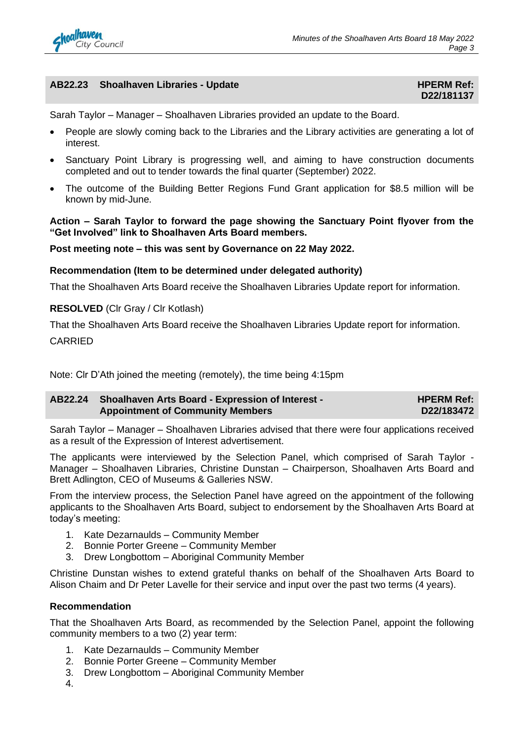

#### **AB22.23** Shoalhaven Libraries - Update **Material Control of the HPERM Ref:**

## **D22/181137**

Sarah Taylor – Manager – Shoalhaven Libraries provided an update to the Board.

- People are slowly coming back to the Libraries and the Library activities are generating a lot of interest.
- Sanctuary Point Library is progressing well, and aiming to have construction documents completed and out to tender towards the final quarter (September) 2022.
- The outcome of the Building Better Regions Fund Grant application for \$8.5 million will be known by mid-June.

**Action – Sarah Taylor to forward the page showing the Sanctuary Point flyover from the "Get Involved" link to Shoalhaven Arts Board members.**

#### **Post meeting note – this was sent by Governance on 22 May 2022.**

#### **Recommendation (Item to be determined under delegated authority)**

That the Shoalhaven Arts Board receive the Shoalhaven Libraries Update report for information.

#### **RESOLVED** (Clr Gray / Clr Kotlash)

That the Shoalhaven Arts Board receive the Shoalhaven Libraries Update report for information. CARRIED

Note: Clr D'Ath joined the meeting (remotely), the time being 4:15pm

| AB22.24 Shoalhaven Arts Board - Expression of Interest - | <b>HPERM Ref:</b> |
|----------------------------------------------------------|-------------------|
| <b>Appointment of Community Members</b>                  | D22/183472        |

Sarah Taylor – Manager – Shoalhaven Libraries advised that there were four applications received as a result of the Expression of Interest advertisement.

The applicants were interviewed by the Selection Panel, which comprised of Sarah Taylor - Manager – Shoalhaven Libraries, Christine Dunstan – Chairperson, Shoalhaven Arts Board and Brett Adlington, CEO of Museums & Galleries NSW.

From the interview process, the Selection Panel have agreed on the appointment of the following applicants to the Shoalhaven Arts Board, subject to endorsement by the Shoalhaven Arts Board at today's meeting:

- 1. Kate Dezarnaulds Community Member
- 2. Bonnie Porter Greene Community Member
- 3. Drew Longbottom Aboriginal Community Member

Christine Dunstan wishes to extend grateful thanks on behalf of the Shoalhaven Arts Board to Alison Chaim and Dr Peter Lavelle for their service and input over the past two terms (4 years).

#### **Recommendation**

That the Shoalhaven Arts Board, as recommended by the Selection Panel, appoint the following community members to a two (2) year term:

- 1. Kate Dezarnaulds Community Member
- 2. Bonnie Porter Greene Community Member
- 3. Drew Longbottom Aboriginal Community Member
- 4.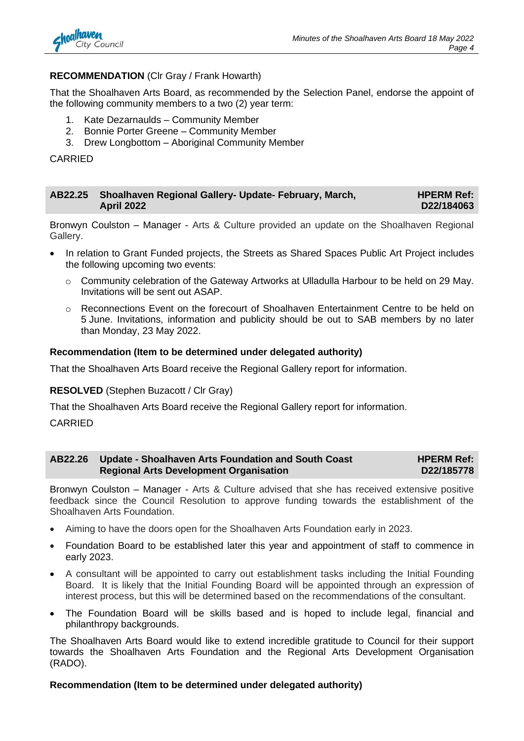

#### **RECOMMENDATION** (Clr Gray / Frank Howarth)

That the Shoalhaven Arts Board, as recommended by the Selection Panel, endorse the appoint of the following community members to a two (2) year term:

- 1. Kate Dezarnaulds Community Member
- 2. Bonnie Porter Greene Community Member
- 3. Drew Longbottom Aboriginal Community Member

CARRIED

| AB22.25 Shoalhaven Regional Gallery- Update- February, March, | <b>HPERM Ref:</b> |
|---------------------------------------------------------------|-------------------|
| <b>April 2022</b>                                             | D22/184063        |

Bronwyn Coulston – Manager - Arts & Culture provided an update on the Shoalhaven Regional Gallery.

- In relation to Grant Funded projects, the Streets as Shared Spaces Public Art Project includes the following upcoming two events:
	- o Community celebration of the Gateway Artworks at Ulladulla Harbour to be held on 29 May. Invitations will be sent out ASAP.
	- o Reconnections Event on the forecourt of Shoalhaven Entertainment Centre to be held on 5 June. Invitations, information and publicity should be out to SAB members by no later than Monday, 23 May 2022.

#### **Recommendation (Item to be determined under delegated authority)**

That the Shoalhaven Arts Board receive the Regional Gallery report for information.

**RESOLVED** (Stephen Buzacott / Clr Gray)

That the Shoalhaven Arts Board receive the Regional Gallery report for information.

CARRIED

#### **AB22.26 Update - Shoalhaven Arts Foundation and South Coast Regional Arts Development Organisation HPERM Ref: D22/185778**

Bronwyn Coulston – Manager - Arts & Culture advised that she has received extensive positive feedback since the Council Resolution to approve funding towards the establishment of the Shoalhaven Arts Foundation.

- Aiming to have the doors open for the Shoalhaven Arts Foundation early in 2023.
- Foundation Board to be established later this year and appointment of staff to commence in early 2023.
- A consultant will be appointed to carry out establishment tasks including the Initial Founding Board. It is likely that the Initial Founding Board will be appointed through an expression of interest process, but this will be determined based on the recommendations of the consultant.
- The Foundation Board will be skills based and is hoped to include legal, financial and philanthropy backgrounds.

The Shoalhaven Arts Board would like to extend incredible gratitude to Council for their support towards the Shoalhaven Arts Foundation and the Regional Arts Development Organisation (RADO).

#### **Recommendation (Item to be determined under delegated authority)**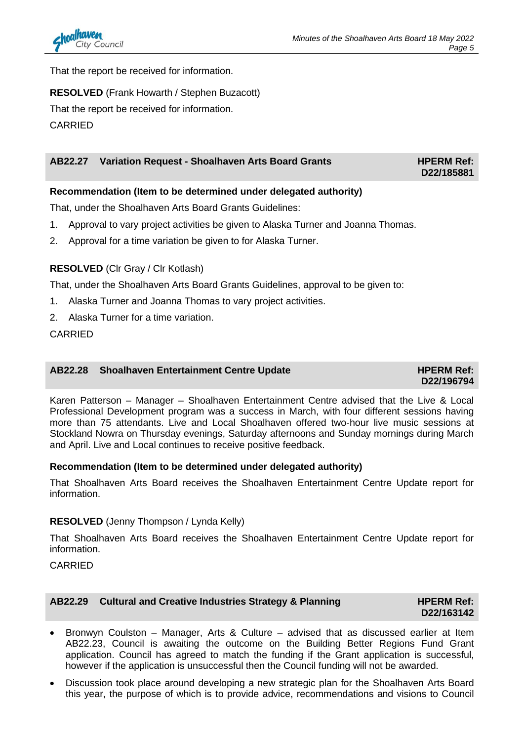

That the report be received for information.

#### **RESOLVED** (Frank Howarth / Stephen Buzacott)

That the report be received for information.

CARRIED

#### **AB22.27 Variation Request - Shoalhaven Arts Board Grants HPERM Ref:**

**Recommendation (Item to be determined under delegated authority)**

That, under the Shoalhaven Arts Board Grants Guidelines:

- 1. Approval to vary project activities be given to Alaska Turner and Joanna Thomas.
- 2. Approval for a time variation be given to for Alaska Turner.

#### **RESOLVED** (Clr Gray / Clr Kotlash)

That, under the Shoalhaven Arts Board Grants Guidelines, approval to be given to:

- 1. Alaska Turner and Joanna Thomas to vary project activities.
- 2. Alaska Turner for a time variation.

CARRIED

#### **AB22.28** Shoalhaven Entertainment Centre Update **Mateurs AB22.28** Shoalhaven Entertainment Centre Update

**D22/196794**

**D22/185881**

Karen Patterson – Manager – Shoalhaven Entertainment Centre advised that the Live & Local Professional Development program was a success in March, with four different sessions having more than 75 attendants. Live and Local Shoalhaven offered two-hour live music sessions at Stockland Nowra on Thursday evenings, Saturday afternoons and Sunday mornings during March and April. Live and Local continues to receive positive feedback.

#### **Recommendation (Item to be determined under delegated authority)**

That Shoalhaven Arts Board receives the Shoalhaven Entertainment Centre Update report for information.

#### **RESOLVED** (Jenny Thompson / Lynda Kelly)

That Shoalhaven Arts Board receives the Shoalhaven Entertainment Centre Update report for information.

#### CARRIED

#### AB22.29 Cultural and Creative Industries Strategy & Planning **HPERM Ref:**

**D22/163142**

- Bronwyn Coulston Manager, Arts & Culture advised that as discussed earlier at Item AB22.23, Council is awaiting the outcome on the Building Better Regions Fund Grant application. Council has agreed to match the funding if the Grant application is successful, however if the application is unsuccessful then the Council funding will not be awarded.
- Discussion took place around developing a new strategic plan for the Shoalhaven Arts Board this year, the purpose of which is to provide advice, recommendations and visions to Council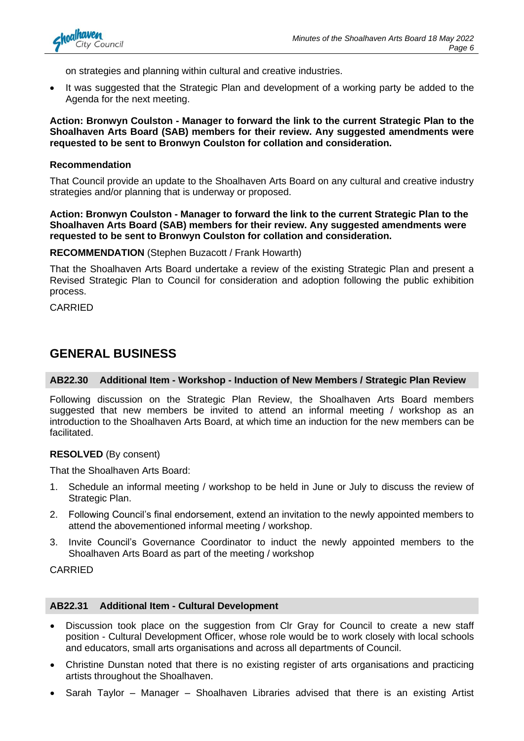

on strategies and planning within cultural and creative industries.

• It was suggested that the Strategic Plan and development of a working party be added to the Agenda for the next meeting.

**Action: Bronwyn Coulston - Manager to forward the link to the current Strategic Plan to the Shoalhaven Arts Board (SAB) members for their review. Any suggested amendments were requested to be sent to Bronwyn Coulston for collation and consideration.**

#### **Recommendation**

That Council provide an update to the Shoalhaven Arts Board on any cultural and creative industry strategies and/or planning that is underway or proposed.

**Action: Bronwyn Coulston - Manager to forward the link to the current Strategic Plan to the Shoalhaven Arts Board (SAB) members for their review. Any suggested amendments were requested to be sent to Bronwyn Coulston for collation and consideration.**

**RECOMMENDATION** (Stephen Buzacott / Frank Howarth)

That the Shoalhaven Arts Board undertake a review of the existing Strategic Plan and present a Revised Strategic Plan to Council for consideration and adoption following the public exhibition process.

CARRIED

#### **GENERAL BUSINESS**

#### **AB22.30 Additional Item - Workshop - Induction of New Members / Strategic Plan Review**

Following discussion on the Strategic Plan Review, the Shoalhaven Arts Board members suggested that new members be invited to attend an informal meeting / workshop as an introduction to the Shoalhaven Arts Board, at which time an induction for the new members can be facilitated.

#### **RESOLVED** (By consent)

That the Shoalhaven Arts Board:

- 1. Schedule an informal meeting / workshop to be held in June or July to discuss the review of Strategic Plan.
- 2. Following Council's final endorsement, extend an invitation to the newly appointed members to attend the abovementioned informal meeting / workshop.
- 3. Invite Council's Governance Coordinator to induct the newly appointed members to the Shoalhaven Arts Board as part of the meeting / workshop

CARRIED

#### **AB22.31 Additional Item - Cultural Development**

- Discussion took place on the suggestion from Clr Gray for Council to create a new staff position - Cultural Development Officer, whose role would be to work closely with local schools and educators, small arts organisations and across all departments of Council.
- Christine Dunstan noted that there is no existing register of arts organisations and practicing artists throughout the Shoalhaven.
- Sarah Taylor Manager Shoalhaven Libraries advised that there is an existing Artist